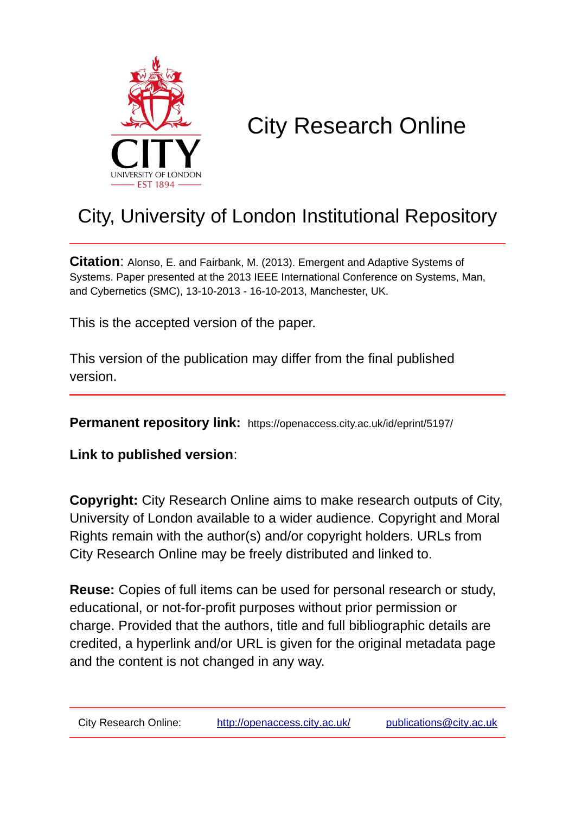

# City Research Online

# City, University of London Institutional Repository

**Citation**: Alonso, E. and Fairbank, M. (2013). Emergent and Adaptive Systems of Systems. Paper presented at the 2013 IEEE International Conference on Systems, Man, and Cybernetics (SMC), 13-10-2013 - 16-10-2013, Manchester, UK.

This is the accepted version of the paper.

This version of the publication may differ from the final published version.

**Permanent repository link:** https://openaccess.city.ac.uk/id/eprint/5197/

**Link to published version**:

**Copyright:** City Research Online aims to make research outputs of City, University of London available to a wider audience. Copyright and Moral Rights remain with the author(s) and/or copyright holders. URLs from City Research Online may be freely distributed and linked to.

**Reuse:** Copies of full items can be used for personal research or study, educational, or not-for-profit purposes without prior permission or charge. Provided that the authors, title and full bibliographic details are credited, a hyperlink and/or URL is given for the original metadata page and the content is not changed in any way.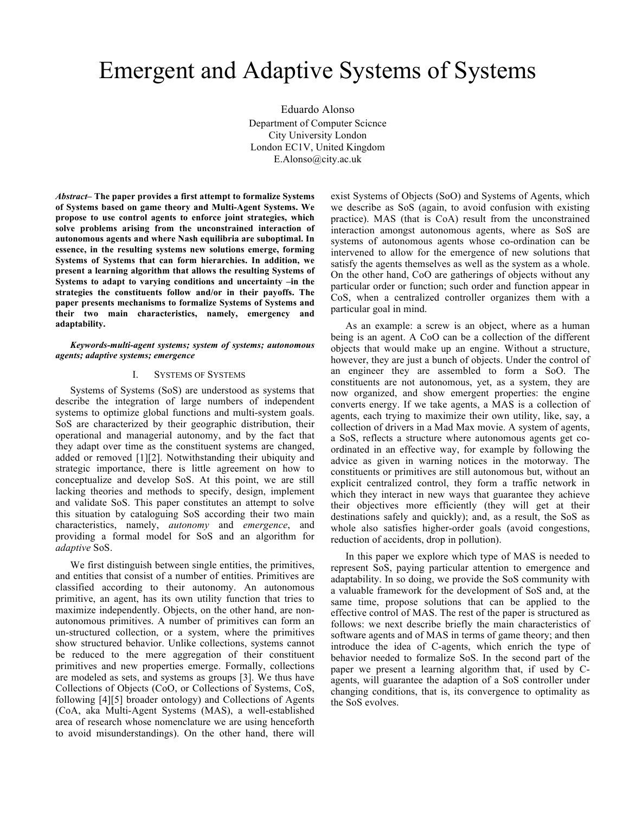# Emergent and Adaptive Systems of Systems

Eduardo Alonso Department of Computer Scicnce City University London London EC1V, United Kingdom E.Alonso@city.ac.uk

*Abstract***– The paper provides a first attempt to formalize Systems of Systems based on game theory and Multi-Agent Systems. We propose to use control agents to enforce joint strategies, which solve problems arising from the unconstrained interaction of autonomous agents and where Nash equilibria are suboptimal. In essence, in the resulting systems new solutions emerge, forming Systems of Systems that can form hierarchies. In addition, we present a learning algorithm that allows the resulting Systems of Systems to adapt to varying conditions and uncertainty –in the strategies the constituents follow and/or in their payoffs. The paper presents mechanisms to formalize Systems of Systems and their two main characteristics, namely, emergency and adaptability.**

*Keywords-multi-agent systems; system of systems; autonomous agents; adaptive systems; emergence*

#### I. SYSTEMS OF SYSTEMS

Systems of Systems (SoS) are understood as systems that describe the integration of large numbers of independent systems to optimize global functions and multi-system goals. SoS are characterized by their geographic distribution, their operational and managerial autonomy, and by the fact that they adapt over time as the constituent systems are changed, added or removed [1][2]. Notwithstanding their ubiquity and strategic importance, there is little agreement on how to conceptualize and develop SoS. At this point, we are still lacking theories and methods to specify, design, implement and validate SoS. This paper constitutes an attempt to solve this situation by cataloguing SoS according their two main characteristics, namely, *autonomy* and *emergence*, and providing a formal model for SoS and an algorithm for *adaptive* SoS.

We first distinguish between single entities, the primitives, and entities that consist of a number of entities. Primitives are classified according to their autonomy. An autonomous primitive, an agent, has its own utility function that tries to maximize independently. Objects, on the other hand, are nonautonomous primitives. A number of primitives can form an un-structured collection, or a system, where the primitives show structured behavior. Unlike collections, systems cannot be reduced to the mere aggregation of their constituent primitives and new properties emerge. Formally, collections are modeled as sets, and systems as groups [3]. We thus have Collections of Objects (CoO, or Collections of Systems, CoS, following [4][5] broader ontology) and Collections of Agents (CoA, aka Multi-Agent Systems (MAS), a well-established area of research whose nomenclature we are using henceforth to avoid misunderstandings). On the other hand, there will

exist Systems of Objects (SoO) and Systems of Agents, which we describe as SoS (again, to avoid confusion with existing practice). MAS (that is CoA) result from the unconstrained interaction amongst autonomous agents, where as SoS are systems of autonomous agents whose co-ordination can be intervened to allow for the emergence of new solutions that satisfy the agents themselves as well as the system as a whole. On the other hand, CoO are gatherings of objects without any particular order or function; such order and function appear in CoS, when a centralized controller organizes them with a particular goal in mind.

As an example: a screw is an object, where as a human being is an agent. A CoO can be a collection of the different objects that would make up an engine. Without a structure, however, they are just a bunch of objects. Under the control of an engineer they are assembled to form a SoO. The constituents are not autonomous, yet, as a system, they are now organized, and show emergent properties: the engine converts energy. If we take agents, a MAS is a collection of agents, each trying to maximize their own utility, like, say, a collection of drivers in a Mad Max movie. A system of agents, a SoS, reflects a structure where autonomous agents get coordinated in an effective way, for example by following the advice as given in warning notices in the motorway. The constituents or primitives are still autonomous but, without an explicit centralized control, they form a traffic network in which they interact in new ways that guarantee they achieve their objectives more efficiently (they will get at their destinations safely and quickly); and, as a result, the SoS as whole also satisfies higher-order goals (avoid congestions, reduction of accidents, drop in pollution).

In this paper we explore which type of MAS is needed to represent SoS, paying particular attention to emergence and adaptability. In so doing, we provide the SoS community with a valuable framework for the development of SoS and, at the same time, propose solutions that can be applied to the effective control of MAS. The rest of the paper is structured as follows: we next describe briefly the main characteristics of software agents and of MAS in terms of game theory; and then introduce the idea of C-agents, which enrich the type of behavior needed to formalize SoS. In the second part of the paper we present a learning algorithm that, if used by Cagents, will guarantee the adaption of a SoS controller under changing conditions, that is, its convergence to optimality as the SoS evolves.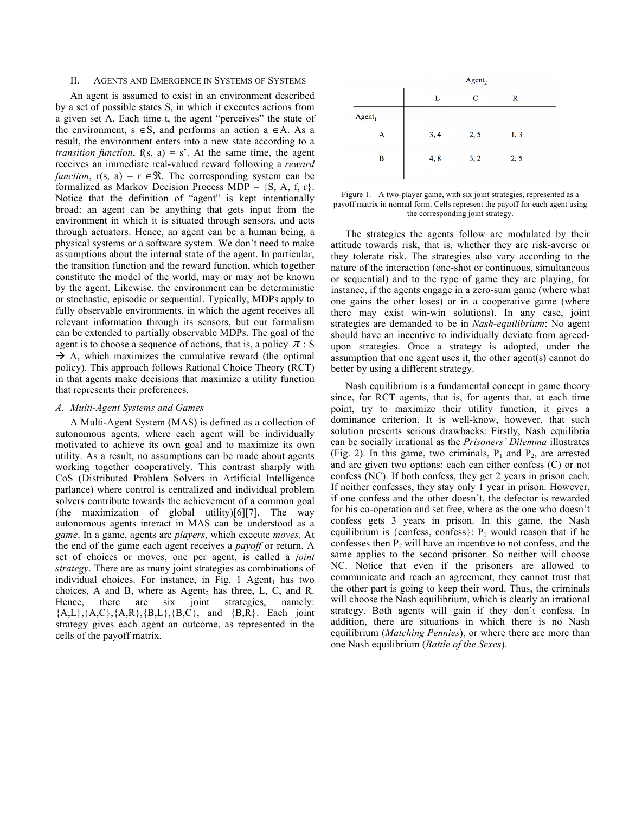# II. AGENTS AND EMERGENCE IN SYSTEMS OF SYSTEMS

An agent is assumed to exist in an environment described by a set of possible states S, in which it executes actions from a given set A. Each time t, the agent "perceives" the state of the environment,  $s \in S$ , and performs an action  $a \in A$ . As a result, the environment enters into a new state according to a *transition function*,  $f(s, a) = s'$ . At the same time, the agent receives an immediate real-valued reward following a *reward function*,  $r(s, a) = r \in \mathcal{R}$ . The corresponding system can be formalized as Markov Decision Process MDP =  $\{S, A, f, r\}$ . Notice that the definition of "agent" is kept intentionally broad: an agent can be anything that gets input from the environment in which it is situated through sensors, and acts through actuators. Hence, an agent can be a human being, a physical systems or a software system. We don't need to make assumptions about the internal state of the agent. In particular, the transition function and the reward function, which together constitute the model of the world, may or may not be known by the agent. Likewise, the environment can be deterministic or stochastic, episodic or sequential. Typically, MDPs apply to fully observable environments, in which the agent receives all relevant information through its sensors, but our formalism can be extended to partially observable MDPs. The goal of the agent is to choose a sequence of actions, that is, a policy  $\pi$  : S  $\rightarrow$  A, which maximizes the cumulative reward (the optimal policy). This approach follows Rational Choice Theory (RCT) in that agents make decisions that maximize a utility function that represents their preferences.

# *A. Multi-Agent Systems and Games*

A Multi-Agent System (MAS) is defined as a collection of autonomous agents, where each agent will be individually motivated to achieve its own goal and to maximize its own utility. As a result, no assumptions can be made about agents working together cooperatively. This contrast sharply with CoS (Distributed Problem Solvers in Artificial Intelligence parlance) where control is centralized and individual problem solvers contribute towards the achievement of a common goal (the maximization of global utility)[6][7]. The way autonomous agents interact in MAS can be understood as a *game*. In a game, agents are *players*, which execute *moves*. At the end of the game each agent receives a *payoff* or return. A set of choices or moves, one per agent, is called a *joint strategy*. There are as many joint strategies as combinations of individual choices. For instance, in Fig. 1 Agent<sub>1</sub> has two choices, A and B, where as Agent<sub>2</sub> has three, L, C, and R. Hence, there are six joint strategies, namely:  ${A, L}, {A, C}, {A, R}, {B, L}, {B, C}, \text{ and } {B, R}.$  Each joint strategy gives each agent an outcome, as represented in the cells of the payoff matrix.

|           | Agent <sub>2</sub> |      |      |  |
|-----------|--------------------|------|------|--|
|           | L                  | С    | R    |  |
| $Agent_1$ |                    |      |      |  |
| A         | 3, 4               | 2, 5 | 1, 3 |  |
| B         | 4,8                | 3, 2 | 2, 5 |  |
|           |                    |      |      |  |

Figure 1. A two-player game, with six joint strategies, represented as a payoff matrix in normal form. Cells represent the payoff for each agent using the corresponding joint strategy.

The strategies the agents follow are modulated by their attitude towards risk, that is, whether they are risk-averse or they tolerate risk. The strategies also vary according to the nature of the interaction (one-shot or continuous, simultaneous or sequential) and to the type of game they are playing, for instance, if the agents engage in a zero-sum game (where what one gains the other loses) or in a cooperative game (where there may exist win-win solutions). In any case, joint strategies are demanded to be in *Nash-equilibrium*: No agent should have an incentive to individually deviate from agreedupon strategies. Once a strategy is adopted, under the assumption that one agent uses it, the other agent(s) cannot do better by using a different strategy.

Nash equilibrium is a fundamental concept in game theory since, for RCT agents, that is, for agents that, at each time point, try to maximize their utility function, it gives a dominance criterion. It is well-know, however, that such solution presents serious drawbacks: Firstly, Nash equilibria can be socially irrational as the *Prisoners' Dilemma* illustrates (Fig. 2). In this game, two criminals,  $P_1$  and  $P_2$ , are arrested and are given two options: each can either confess (C) or not confess (NC). If both confess, they get 2 years in prison each. If neither confesses, they stay only 1 year in prison. However, if one confess and the other doesn't, the defector is rewarded for his co-operation and set free, where as the one who doesn't confess gets 3 years in prison. In this game, the Nash equilibrium is {confess, confess}:  $P_1$  would reason that if he confesses then  $P_2$  will have an incentive to not confess, and the same applies to the second prisoner. So neither will choose NC. Notice that even if the prisoners are allowed to communicate and reach an agreement, they cannot trust that the other part is going to keep their word. Thus, the criminals will choose the Nash equilibrium, which is clearly an irrational strategy. Both agents will gain if they don't confess. In addition, there are situations in which there is no Nash equilibrium (*Matching Pennies*), or where there are more than one Nash equilibrium (*Battle of the Sexes*).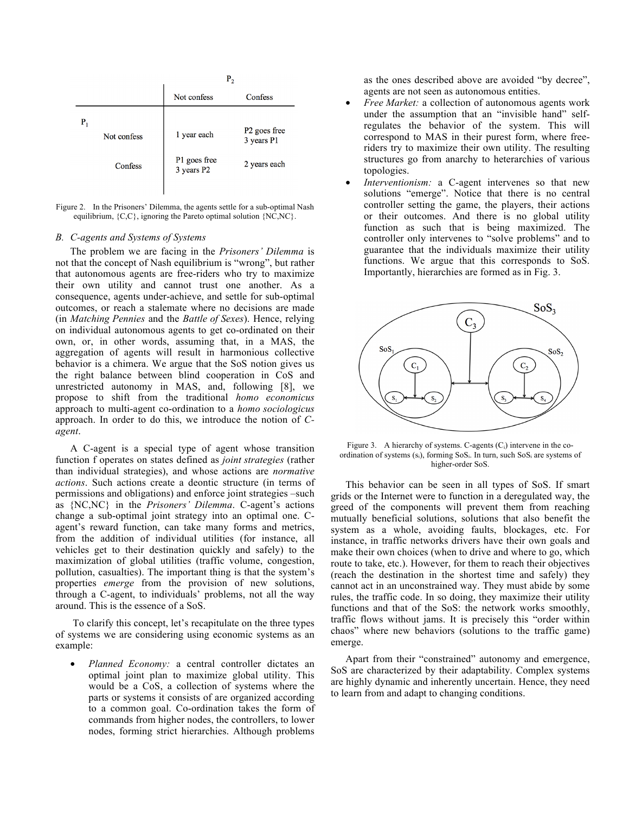|                                 | $P_{2}$                                               |                                                        |  |
|---------------------------------|-------------------------------------------------------|--------------------------------------------------------|--|
|                                 | Not confess                                           | Confess                                                |  |
| $P_1$<br>Not confess<br>Confess | 1 year each<br>P1 goes free<br>3 years P <sub>2</sub> | P <sub>2</sub> goes free<br>3 years P1<br>2 years each |  |

Figure 2. In the Prisoners' Dilemma, the agents settle for a sub-optimal Nash equilibrium, {C,C}, ignoring the Pareto optimal solution {NC,NC}.

# *B. C-agents and Systems of Systems*

The problem we are facing in the *Prisoners' Dilemma* is not that the concept of Nash equilibrium is "wrong", but rather that autonomous agents are free-riders who try to maximize their own utility and cannot trust one another. As a consequence, agents under-achieve, and settle for sub-optimal outcomes, or reach a stalemate where no decisions are made (in *Matching Pennies* and the *Battle of Sexes*). Hence, relying on individual autonomous agents to get co-ordinated on their own, or, in other words, assuming that, in a MAS, the aggregation of agents will result in harmonious collective behavior is a chimera. We argue that the SoS notion gives us the right balance between blind cooperation in CoS and unrestricted autonomy in MAS, and, following [8], we propose to shift from the traditional *homo economicus*  approach to multi-agent co-ordination to a *homo sociologicus* approach. In order to do this, we introduce the notion of *Cagent*.

A C-agent is a special type of agent whose transition function f operates on states defined as *joint strategies* (rather than individual strategies), and whose actions are *normative actions*. Such actions create a deontic structure (in terms of permissions and obligations) and enforce joint strategies –such as {NC,NC} in the *Prisoners' Dilemma*. C-agent's actions change a sub-optimal joint strategy into an optimal one. Cagent's reward function, can take many forms and metrics, from the addition of individual utilities (for instance, all vehicles get to their destination quickly and safely) to the maximization of global utilities (traffic volume, congestion, pollution, casualties). The important thing is that the system's properties *emerge* from the provision of new solutions, through a C-agent, to individuals' problems, not all the way around. This is the essence of a SoS.

To clarify this concept, let's recapitulate on the three types of systems we are considering using economic systems as an example:

• *Planned Economy:* a central controller dictates an optimal joint plan to maximize global utility. This would be a CoS, a collection of systems where the parts or systems it consists of are organized according to a common goal. Co-ordination takes the form of commands from higher nodes, the controllers, to lower nodes, forming strict hierarchies. Although problems

as the ones described above are avoided "by decree", agents are not seen as autonomous entities.

- *Free Market:* a collection of autonomous agents work under the assumption that an "invisible hand" selfregulates the behavior of the system. This will correspond to MAS in their purest form, where freeriders try to maximize their own utility. The resulting structures go from anarchy to heterarchies of various topologies.
- *Interventionism:* a C-agent intervenes so that new solutions "emerge". Notice that there is no central controller setting the game, the players, their actions or their outcomes. And there is no global utility function as such that is being maximized. The controller only intervenes to "solve problems" and to guarantee that the individuals maximize their utility functions. We argue that this corresponds to SoS. Importantly, hierarchies are formed as in Fig. 3.



Figure 3. A hierarchy of systems. C-agents  $(C_i)$  intervene in the coordination of systems  $(s_i)$ , forming  $S \circ S_i$ . In turn, such  $S \circ S_i$  are systems of higher-order SoS.

This behavior can be seen in all types of SoS. If smart grids or the Internet were to function in a deregulated way, the greed of the components will prevent them from reaching mutually beneficial solutions, solutions that also benefit the system as a whole, avoiding faults, blockages, etc. For instance, in traffic networks drivers have their own goals and make their own choices (when to drive and where to go, which route to take, etc.). However, for them to reach their objectives (reach the destination in the shortest time and safely) they cannot act in an unconstrained way. They must abide by some rules, the traffic code. In so doing, they maximize their utility functions and that of the SoS: the network works smoothly, traffic flows without jams. It is precisely this "order within chaos" where new behaviors (solutions to the traffic game) emerge.

Apart from their "constrained" autonomy and emergence, SoS are characterized by their adaptability. Complex systems are highly dynamic and inherently uncertain. Hence, they need to learn from and adapt to changing conditions.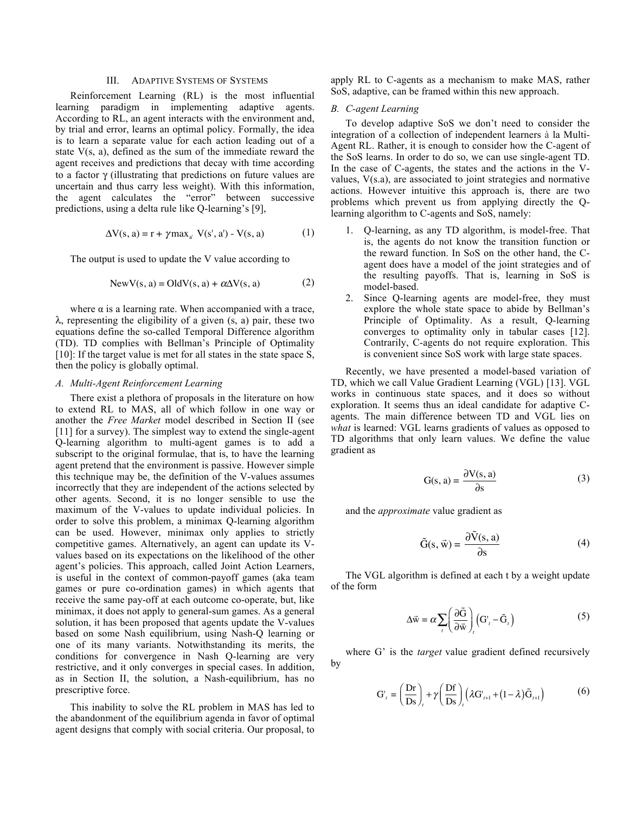# III. ADAPTIVE SYSTEMS OF SYSTEMS

Reinforcement Learning (RL) is the most influential learning paradigm in implementing adaptive agents. According to RL, an agent interacts with the environment and, by trial and error, learns an optimal policy. Formally, the idea is to learn a separate value for each action leading out of a state V(s, a), defined as the sum of the immediate reward the agent receives and predictions that decay with time according to a factor γ (illustrating that predictions on future values are uncertain and thus carry less weight). With this information, the agent calculates the "error" between successive predictions, using a delta rule like Q-learning's [9],

$$
\Delta V(s, a) = r + \gamma \max_{a'} V(s', a') - V(s, a)
$$
 (1)

The output is used to update the V value according to

$$
NewV(s, a) = OldV(s, a) + \alpha \Delta V(s, a)
$$
 (2)

where  $\alpha$  is a learning rate. When accompanied with a trace,  $λ$ , representing the eligibility of a given  $(s, a)$  pair, these two equations define the so-called Temporal Difference algorithm (TD). TD complies with Bellman's Principle of Optimality [10]: If the target value is met for all states in the state space S, then the policy is globally optimal.

#### *A. Multi-Agent Reinforcement Learning*

There exist a plethora of proposals in the literature on how to extend RL to MAS, all of which follow in one way or another the *Free Market* model described in Section II (see [11] for a survey). The simplest way to extend the single-agent Q-learning algorithm to multi-agent games is to add a subscript to the original formulae, that is, to have the learning agent pretend that the environment is passive. However simple this technique may be, the definition of the V-values assumes incorrectly that they are independent of the actions selected by other agents. Second, it is no longer sensible to use the maximum of the V-values to update individual policies. In order to solve this problem, a minimax Q-learning algorithm can be used. However, minimax only applies to strictly competitive games. Alternatively, an agent can update its Vvalues based on its expectations on the likelihood of the other agent's policies. This approach, called Joint Action Learners, is useful in the context of common-payoff games (aka team games or pure co-ordination games) in which agents that receive the same pay-off at each outcome co-operate, but, like minimax, it does not apply to general-sum games. As a general solution, it has been proposed that agents update the V-values based on some Nash equilibrium, using Nash-Q learning or one of its many variants. Notwithstanding its merits, the conditions for convergence in Nash Q-learning are very restrictive, and it only converges in special cases. In addition, as in Section II, the solution, a Nash-equilibrium, has no prescriptive force.

This inability to solve the RL problem in MAS has led to the abandonment of the equilibrium agenda in favor of optimal agent designs that comply with social criteria. Our proposal, to

apply RL to C-agents as a mechanism to make MAS, rather SoS, adaptive, can be framed within this new approach.

### *B. C-agent Learning*

To develop adaptive SoS we don't need to consider the integration of a collection of independent learners à la Multi-Agent RL. Rather, it is enough to consider how the C-agent of the SoS learns. In order to do so, we can use single-agent TD. In the case of C-agents, the states and the actions in the Vvalues, V(s.a), are associated to joint strategies and normative actions. However intuitive this approach is, there are two problems which prevent us from applying directly the Qlearning algorithm to C-agents and SoS, namely:

- 1. Q-learning, as any TD algorithm, is model-free. That is, the agents do not know the transition function or the reward function. In SoS on the other hand, the Cagent does have a model of the joint strategies and of the resulting payoffs. That is, learning in SoS is model-based.
- 2. Since Q-learning agents are model-free, they must explore the whole state space to abide by Bellman's Principle of Optimality. As a result, Q-learning converges to optimality only in tabular cases [12]. Contrarily, C-agents do not require exploration. This is convenient since SoS work with large state spaces.

Recently, we have presented a model-based variation of TD, which we call Value Gradient Learning (VGL) [13]. VGL works in continuous state spaces, and it does so without exploration. It seems thus an ideal candidate for adaptive Cagents. The main difference between TD and VGL lies on *what* is learned: VGL learns gradients of values as opposed to TD algorithms that only learn values. We define the value gradient as

$$
G(s, a) = \frac{\partial V(s, a)}{\partial s} \tag{3}
$$

and the *approximate* value gradient as

$$
\tilde{G}(s, \vec{w}) = \frac{\partial \tilde{V}(s, a)}{\partial s} \tag{4}
$$

The VGL algorithm is defined at each t by a weight update of the form

$$
\Delta \vec{\mathbf{w}} = \alpha \sum_{i} \left( \frac{\partial \tilde{\mathbf{G}}}{\partial \vec{\mathbf{w}}} \right)_{i} (\mathbf{G}_{i} - \tilde{\mathbf{G}}_{i})
$$
(5)

where G' is the *target* value gradient defined recursively by

$$
G'_{t} = \left(\frac{Dr}{Ds}\right)_{t} + \gamma \left(\frac{Df}{Ds}\right)_{t} \left(\lambda G'_{t+1} + (1-\lambda)\tilde{G}_{t+1}\right)
$$
(6)